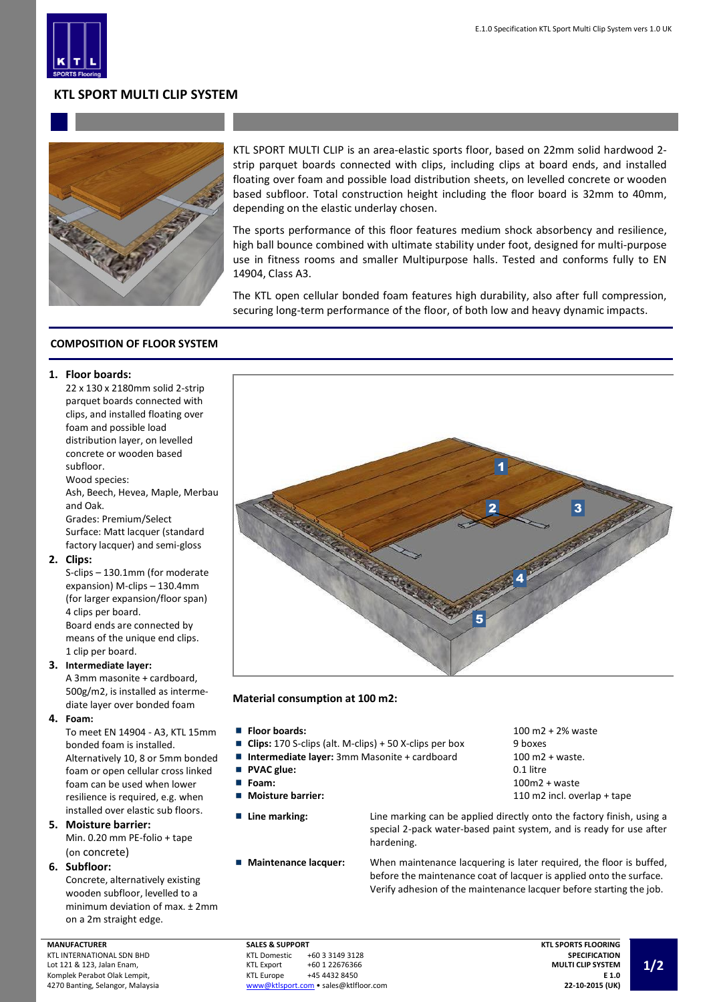

# **KTL SPORT MULTI CLIP SYSTEM**



KTL SPORT MULTI CLIP is an area-elastic sports floor, based on 22mm solid hardwood 2 strip parquet boards connected with clips, including clips at board ends, and installed floating over foam and possible load distribution sheets, on levelled concrete or wooden based subfloor. Total construction height including the floor board is 32mm to 40mm, depending on the elastic underlay chosen.

The sports performance of this floor features medium shock absorbency and resilience, high ball bounce combined with ultimate stability under foot, designed for multi-purpose use in fitness rooms and smaller Multipurpose halls. Tested and conforms fully to EN 14904, Class A3.

The KTL open cellular bonded foam features high durability, also after full compression, securing long-term performance of the floor, of both low and heavy dynamic impacts.

## **COMPOSITION OF FLOOR SYSTEM**

#### **1. Floor boards:**

22 x 130 x 2180mm solid 2-strip parquet boards connected with clips, and installed floating over foam and possible load distribution layer, on levelled concrete or wooden based subfloor. Wood species:

Ash, Beech, Hevea, Maple, Merbau and Oak.

Grades: Premium/Select Surface: Matt lacquer (standard factory lacquer) and semi-gloss

#### **2. Clips:**

S-clips – 130.1mm (for moderate expansion) M-clips – 130.4mm (for larger expansion/floor span) 4 clips per board. Board ends are connected by means of the unique end clips. 1 clip per board.

### **3. Intermediate layer:**

A 3mm masonite + cardboard, 500g/m2, is installed as intermediate layer over bonded foam

**4. Foam:**

To meet EN 14904 - A3, KTL 15mm bonded foam is installed. Alternatively 10, 8 or 5mm bonded foam or open cellular cross linked foam can be used when lower resilience is required, e.g. when installed over elastic sub floors.

- **5. Moisture barrier:** Min. 0.20 mm PE-folio + tape (on concrete)
- **6. Subfloor:**

Concrete, alternatively existing wooden subfloor, levelled to a minimum deviation of max. ± 2mm on a 2m straight edge.

1 2 3 4 5

**Material consumption at 100 m2:**

- 
- **Clips:** 170 S-clips (alt. M-clips) + 50 X-clips per box 9 boxes
- Intermediate layer: 3mm Masonite + cardboard 100 m2 + waste.
- $\blacksquare$ **PVAC glue:** 0.1 litre
- $\blacksquare$
- П
- 
- 

■ **Floor boards:** 100 m2 + 2% waste **Foam:** 100m2 + waste **Moisture barrier:** 110 m2 incl. overlap + tape

**Line marking:** Line marking can be applied directly onto the factory finish, using a special 2-pack water-based paint system, and is ready for use after hardening.

**Maintenance lacquer:** When maintenance lacquering is later required, the floor is buffed, before the maintenance coat of lacquer is applied onto the surface. Verify adhesion of the maintenance lacquer before starting the job.

**SALES & SUPPORT**<br>KTL Domestic +60 3 3149 3128 KTL Export +60 1 22676366<br>KTL Europe +45 4432 8450 +45 4432 8450 [www@ktlsport.com](mailto:www@ktlsport.com) • sales@ktlfloor.com

**MANUFACTURER** KTL INTERNATIONAL SDN BHD Lot 121 & 123, Jalan Enam, Komplek Perabot Olak Lempit, 4270 Banting, Selangor, Malaysia